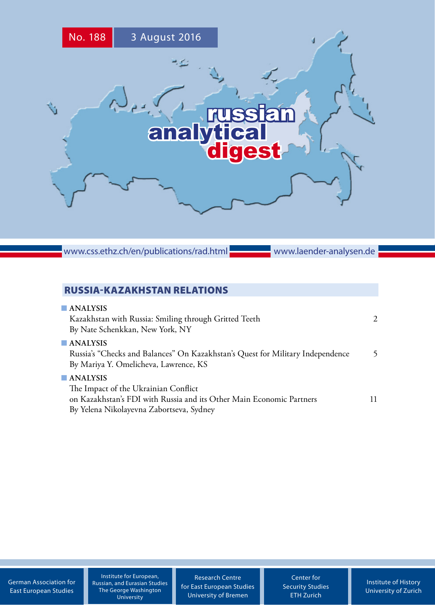

www.css.ethz.ch/en/publications/rad.html

www.laender-analysen.de

# RUSSIA-KAZAKHSTAN RELATIONS

| $\blacksquare$ ANALYSIS<br>Kazakhstan with Russia: Smiling through Gritted Teeth<br>By Nate Schenkkan, New York, NY                                                                 | $\mathcal{L}$ |
|-------------------------------------------------------------------------------------------------------------------------------------------------------------------------------------|---------------|
| $\blacksquare$ ANALYSIS<br>Russia's "Checks and Balances" On Kazakhstan's Quest for Military Independence<br>By Mariya Y. Omelicheva, Lawrence, KS                                  | 5             |
| $\blacksquare$ ANALYSIS<br>The Impact of the Ukrainian Conflict<br>on Kazakhstan's FDI with Russia and its Other Main Economic Partners<br>By Yelena Nikolayevna Zabortseva, Sydney | 11            |

[German Association for](http://www.dgo-online.org/) [East European Studies](http://www.dgo-online.org/)

Institute for European, Russian, and Eurasian Studies The George Washington University

[Research Centre](http://www.forschungsstelle.uni-bremen.de/) [for East European Studies](http://www.forschungsstelle.uni-bremen.de/) [University of Bremen](http://www.forschungsstelle.uni-bremen.de/)

[Center for](http://www.css.ethz.ch/) [Security Studies](http://www.css.ethz.ch/) [ETH Zurich](http://www.css.ethz.ch/)

[Institute of History](http://www.hist.uzh.ch/) [University of](http://www.hist.uzh.ch/) Zurich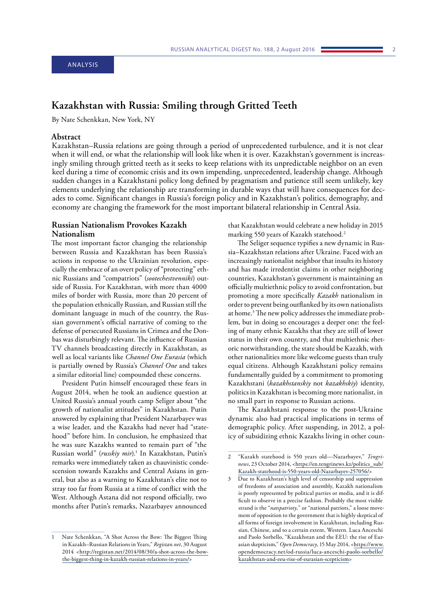# <span id="page-1-0"></span>**Kazakhstan with Russia: Smiling through Gritted Teeth**

By Nate Schenkkan, New York, NY

#### **Abstract**

Kazakhstan–Russia relations are going through a period of unprecedented turbulence, and it is not clear when it will end, or what the relationship will look like when it is over. Kazakhstan's government is increasingly smiling through gritted teeth as it seeks to keep relations with its unpredictable neighbor on an even keel during a time of economic crisis and its own impending, unprecedented, leadership change. Although sudden changes in a Kazakhstani policy long defined by pragmatism and patience still seem unlikely, key elements underlying the relationship are transforming in durable ways that will have consequences for decades to come. Significant changes in Russia's foreign policy and in Kazakhstan's politics, demography, and economy are changing the framework for the most important bilateral relationship in Central Asia.

#### **Russian Nationalism Provokes Kazakh Nationalism**

The most important factor changing the relationship between Russia and Kazakhstan has been Russia's actions in response to the Ukrainian revolution, especially the embrace of an overt policy of "protecting" ethnic Russians and "compatriots" (*sootechestvenniki*) outside of Russia. For Kazakhstan, with more than 4000 miles of border with Russia, more than 20 percent of the population ethnically Russian, and Russian still the dominant language in much of the country, the Russian government's official narrative of coming to the defense of persecuted Russians in Crimea and the Donbas was disturbingly relevant. The influence of Russian TV channels broadcasting directly in Kazakhstan, as well as local variants like *Channel One Eurasia* (which is partially owned by Russia's *Channel One* and takes a similar editorial line) compounded these concerns.

President Putin himself encouraged these fears in August 2014, when he took an audience question at United Russia's annual youth camp Seliger about "the growth of nationalist attitudes" in Kazakhstan. Putin answered by explaining that President Nazarbayev was a wise leader, and the Kazakhs had never had "statehood" before him. In conclusion, he emphasized that he was sure Kazakhs wanted to remain part of "the Russian world" (*russkiy mir*).1 In Kazakhstan, Putin's remarks were immediately taken as chauvinistic condescension towards Kazakhs and Central Asians in general, but also as a warning to Kazakhstan's elite not to stray too far from Russia at a time of conflict with the West. Although Astana did not respond officially, two months after Putin's remarks, Nazarbayev announced

that Kazakhstan would celebrate a new holiday in 2015 marking 550 years of Kazakh statehood.2

The Seliger sequence typifies a new dynamic in Russia–Kazakhstan relations after Ukraine. Faced with an increasingly nationalist neighbor that insults its history and has made irredentist claims in other neighboring countries, Kazakhstan's government is maintaining an officially multiethnic policy to avoid confrontation, but promoting a more specifically *Kazakh* nationalism in order to prevent being outflanked by its own nationalists at home.3 The new policy addresses the immediate problem, but in doing so encourages a deeper one: the feeling of many ethnic Kazakhs that they are still of lower status in their own country, and that multiethnic rhetoric notwithstanding, the state should be Kazakh, with other nationalities more like welcome guests than truly equal citizens. Although Kazakhstani policy remains fundamentally guided by a commitment to promoting Kazakhstani (*kazakhstanskiy* not *kazakhskiy*) identity, politics in Kazakhstan is becoming more nationalist, in no small part in response to Russian actions.

The Kazakhstani response to the post-Ukraine dynamic also had practical implications in terms of demographic policy. After suspending, in 2012, a policy of subsidizing ethnic Kazakhs living in other coun-

Nate Schenkkan, "A Shot Across the Bow: The Biggest Thing in Kazakh–Russian Relations in Years," *Registan.net*, 30 August 2014 <[http://registan.net/2014/08/30/a-shot-across-the-bow](http://registan.net/2014/08/30/a-shot-across-the-bow-the-biggest-thing-in-kazakh-russian-relations-in-years/)[the-biggest-thing-in-kazakh-russian-relations-in-years/>](http://registan.net/2014/08/30/a-shot-across-the-bow-the-biggest-thing-in-kazakh-russian-relations-in-years/)

<sup>2</sup> "Kazakh statehood is 550 years old—Nazarbayev," *Tengrinews*, 23 October 2014, [<https://en.tengrinews.kz/politics\\_sub/](https://en.tengrinews.kz/politics_sub/Kazakh-statehood-is-550-years-old-Nazarbayev-257056/) [Kazakh-statehood-is-550-years-old-Nazarbayev-257056/](https://en.tengrinews.kz/politics_sub/Kazakh-statehood-is-550-years-old-Nazarbayev-257056/)>

<sup>3</sup> Due to Kazakhstan's high level of censorship and suppression of freedoms of association and assembly, Kazakh nationalism is poorly represented by political parties or media, and it is difficult to observe in a precise fashion. Probably the most visible strand is the "*natspatrioty*," or "national patriots," a loose movement of opposition to the government that is highly skeptical of all forms of foreign involvement in Kazakhstan, including Russian, Chinese, and to a certain extent, Western. Luca Anceschi and Paolo Sorbello, "Kazakhstan and the EEU: the rise of Eurasian skepticism," *Open Democracy*, 15 May 2014, [<https://www.](https://www.opendemocracy.net/od-russia/luca-anceschi-paolo-sorbello/kazakhstan-and-eeu-rise-of-eurasian-scepticism) [opendemocracy.net/od-russia/luca-anceschi-paolo-sorbello/](https://www.opendemocracy.net/od-russia/luca-anceschi-paolo-sorbello/kazakhstan-and-eeu-rise-of-eurasian-scepticism) [kazakhstan-and-eeu-rise-of-eurasian-scepticism>](https://www.opendemocracy.net/od-russia/luca-anceschi-paolo-sorbello/kazakhstan-and-eeu-rise-of-eurasian-scepticism)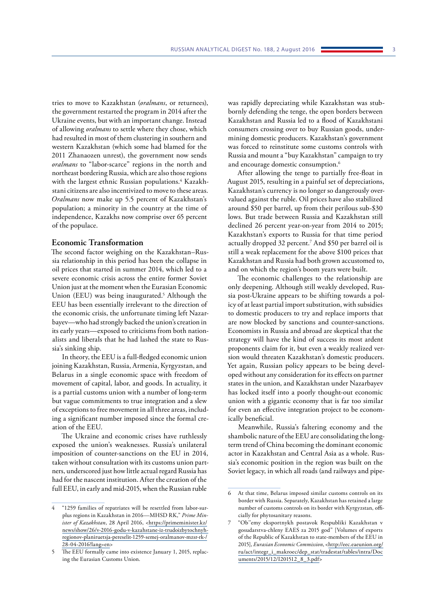tries to move to Kazakhstan (*oralmans*, or returnees), the government restarted the program in 2014 after the Ukraine events, but with an important change. Instead of allowing *oralmans* to settle where they chose, which had resulted in most of them clustering in southern and western Kazakhstan (which some had blamed for the 2011 Zhanaozen unrest), the government now sends *oralmans* to "labor-scarce" regions in the north and northeast bordering Russia, which are also those regions with the largest ethnic Russian populations.4 Kazakhstani citizens are also incentivized to move to these areas. *Oralmans* now make up 5.5 percent of Kazakhstan's population; a minority in the country at the time of independence, Kazakhs now comprise over 65 percent of the populace.

#### **Economic Transformation**

The second factor weighing on the Kazakhstan–Russia relationship in this period has been the collapse in oil prices that started in summer 2014, which led to a severe economic crisis across the entire former Soviet Union just at the moment when the Eurasian Economic Union (EEU) was being inaugurated.<sup>5</sup> Although the EEU has been essentially irrelevant to the direction of the economic crisis, the unfortunate timing left Nazarbayev—who had strongly backed the union's creation in its early years—exposed to criticisms from both nationalists and liberals that he had lashed the state to Russia's sinking ship.

In theory, the EEU is a full-fledged economic union joining Kazakhstan, Russia, Armenia, Kyrgyzstan, and Belarus in a single economic space with freedom of movement of capital, labor, and goods. In actuality, it is a partial customs union with a number of long-term but vague commitments to true integration and a slew of exceptions to free movement in all three areas, including a significant number imposed since the formal creation of the EEU.

The Ukraine and economic crises have ruthlessly exposed the union's weaknesses. Russia's unilateral imposition of counter-sanctions on the EU in 2014, taken without consultation with its customs union partners, underscored just how little actual regard Russia has had for the nascent institution. After the creation of the full EEU, in early and mid-2015, when the Russian ruble

was rapidly depreciating while Kazakhstan was stubbornly defending the tenge, the open borders between Kazakhstan and Russia led to a flood of Kazakhstani consumers crossing over to buy Russian goods, undermining domestic producers. Kazakhstan's government was forced to reinstitute some customs controls with Russia and mount a "buy Kazakhstan" campaign to try and encourage domestic consumption.<sup>6</sup>

After allowing the tenge to partially free-float in August 2015, resulting in a painful set of depreciations, Kazakhstan's currency is no longer so dangerously overvalued against the ruble. Oil prices have also stabilized around \$50 per barrel, up from their perilous sub-\$30 lows. But trade between Russia and Kazakhstan still declined 26 percent year-on-year from 2014 to 2015; Kazakhstan's exports to Russia for that time period actually dropped 32 percent.7 And \$50 per barrel oil is still a weak replacement for the above \$100 prices that Kazakhstan and Russia had both grown accustomed to, and on which the region's boom years were built.

The economic challenges to the relationship are only deepening. Although still weakly developed, Russia post-Ukraine appears to be shifting towards a policy of at least partial import substitution, with subsidies to domestic producers to try and replace imports that are now blocked by sanctions and counter-sanctions. Economists in Russia and abroad are skeptical that the strategy will have the kind of success its most ardent proponents claim for it, but even a weakly realized version would threaten Kazakhstan's domestic producers. Yet again, Russian policy appears to be being developed without any consideration for its effects on partner states in the union, and Kazakhstan under Nazarbayev has locked itself into a poorly thought-out economic union with a gigantic economy that is far too similar for even an effective integration project to be economically beneficial.

Meanwhile, Russia's faltering economy and the shambolic nature of the EEU are consolidating the longterm trend of China becoming the dominant economic actor in Kazakhstan and Central Asia as a whole. Russia's economic position in the region was built on the Soviet legacy, in which all roads (and railways and pipe-

<sup>4</sup> "1259 families of repatriates will be resettled from labor-surplus regions in Kazakhstan in 2016—MHSD RK," *Prime Minister of Kazakhstan*, 28 April 2016, <[https://primeminister.kz/](https://primeminister.kz/news/show/26/v-2016-godu-v-kazahstane-iz-trudoizbytochnyh-regionov-planiruetsja-pereselit-1259-semej-oralmanov-mzsr-rk-/28-04-2016?lang=en) [news/show/26/v-2016-godu-v-kazahstane-iz-trudoizbytochnyh](https://primeminister.kz/news/show/26/v-2016-godu-v-kazahstane-iz-trudoizbytochnyh-regionov-planiruetsja-pereselit-1259-semej-oralmanov-mzsr-rk-/28-04-2016?lang=en)[regionov-planiruetsja-pereselit-1259-semej-oralmanov-mzsr-rk-/](https://primeminister.kz/news/show/26/v-2016-godu-v-kazahstane-iz-trudoizbytochnyh-regionov-planiruetsja-pereselit-1259-semej-oralmanov-mzsr-rk-/28-04-2016?lang=en) [28-04-2016?lang=en](https://primeminister.kz/news/show/26/v-2016-godu-v-kazahstane-iz-trudoizbytochnyh-regionov-planiruetsja-pereselit-1259-semej-oralmanov-mzsr-rk-/28-04-2016?lang=en)>

The EEU formally came into existence January 1, 2015, replacing the Eurasian Customs Union.

<sup>6</sup> At that time, Belarus imposed similar customs controls on its border with Russia. Separately, Kazakhstan has retained a large number of customs controls on its border with Kyrgyzstan, officially for phytosanitary reasons.

<sup>7</sup> "Ob''emy eksportnykh postavok Respubliki Kazakhstan v gosudarstva-chleny EAES za 2015 god" [Volumes of exports of the Republic of Kazakhstan to state-members of the EEU in 2015], *Eurasian Economic Commission*, [<http://eec.eaeunion.org/](http://eec.eaeunion.org/ru/act/integr_i_makroec/dep_stat/tradestat/tables/intra/Documents/2015/12/I201512_8_3.pdf) [ru/act/integr\\_i\\_makroec/dep\\_stat/tradestat/tables/intra/Doc](http://eec.eaeunion.org/ru/act/integr_i_makroec/dep_stat/tradestat/tables/intra/Documents/2015/12/I201512_8_3.pdf)  [uments/2015/12/I201512\\_8\\_3.pdf>](http://eec.eaeunion.org/ru/act/integr_i_makroec/dep_stat/tradestat/tables/intra/Documents/2015/12/I201512_8_3.pdf)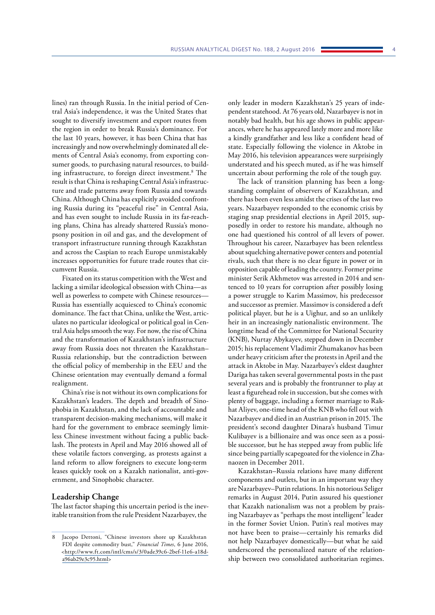lines) ran through Russia. In the initial period of Central Asia's independence, it was the United States that sought to diversify investment and export routes from the region in order to break Russia's dominance. For the last 10 years, however, it has been China that has increasingly and now overwhelmingly dominated all elements of Central Asia's economy, from exporting consumer goods, to purchasing natural resources, to building infrastructure, to foreign direct investment.8 The result is that China is reshaping Central Asia's infrastructure and trade patterns away from Russia and towards China. Although China has explicitly avoided confronting Russia during its "peaceful rise" in Central Asia, and has even sought to include Russia in its far-reaching plans, China has already shattered Russia's monopsony position in oil and gas, and the development of transport infrastructure running through Kazakhstan and across the Caspian to reach Europe unmistakably increases opportunities for future trade routes that circumvent Russia.

Fixated on its status competition with the West and lacking a similar ideological obsession with China—as well as powerless to compete with Chinese resources— Russia has essentially acquiesced to China's economic dominance. The fact that China, unlike the West, articulates no particular ideological or political goal in Central Asia helps smooth the way. For now, the rise of China and the transformation of Kazakhstan's infrastructure away from Russia does not threaten the Kazakhstan– Russia relationship, but the contradiction between the official policy of membership in the EEU and the Chinese orientation may eventually demand a formal realignment.

China's rise is not without its own complications for Kazakhstan's leaders. The depth and breadth of Sinophobia in Kazakhstan, and the lack of accountable and transparent decision-making mechanisms, will make it hard for the government to embrace seemingly limitless Chinese investment without facing a public backlash. The protests in April and May 2016 showed all of these volatile factors converging, as protests against a land reform to allow foreigners to execute long-term leases quickly took on a Kazakh nationalist, anti-government, and Sinophobic character.

#### **Leadership Change**

The last factor shaping this uncertain period is the inevitable transition from the rule President Nazarbayev, the

only leader in modern Kazakhstan's 25 years of independent statehood. At 76 years old, Nazarbayev is not in notably bad health, but his age shows in public appearances, where he has appeared lately more and more like a kindly grandfather and less like a confident head of state. Especially following the violence in Aktobe in May 2016, his television appearances were surprisingly understated and his speech muted, as if he was himself uncertain about performing the role of the tough guy.

The lack of transition planning has been a longstanding complaint of observers of Kazakhstan, and there has been even less amidst the crises of the last two years. Nazarbayev responded to the economic crisis by staging snap presidential elections in April 2015, supposedly in order to restore his mandate, although no one had questioned his control of all levers of power. Throughout his career, Nazarbayev has been relentless about squelching alternative power centers and potential rivals, such that there is no clear figure in power or in opposition capable of leading the country. Former prime minister Serik Akhmetov was arrested in 2014 and sentenced to 10 years for corruption after possibly losing a power struggle to Karim Massimov, his predecessor and successor as premier. Massimov is considered a deft political player, but he is a Uighur, and so an unlikely heir in an increasingly nationalistic environment. The longtime head of the Committee for National Security (KNB), Nurtay Abykayev, stepped down in December 2015; his replacement Vladimir Zhumakanov has been under heavy criticism after the protests in April and the attack in Aktobe in May. Nazarbayev's eldest daughter Dariga has taken several governmental posts in the past several years and is probably the frontrunner to play at least a figurehead role in succession, but she comes with plenty of baggage, including a former marriage to Rakhat Aliyev, one-time head of the KNB who fell out with Nazarbayev and died in an Austrian prison in 2015. The president's second daughter Dinara's husband Timur Kulibayev is a billionaire and was once seen as a possible successor, but he has stepped away from public life since being partially scapegoated for the violence in Zhanaozen in December 2011.

Kazakhstan–Russia relations have many different components and outlets, but in an important way they are Nazarbayev–Putin relations. In his notorious Seliger remarks in August 2014, Putin assured his questioner that Kazakh nationalism was not a problem by praising Nazarbayev as "perhaps the most intelligent" leader in the former Soviet Union. Putin's real motives may not have been to praise—certainly his remarks did not help Nazarbayev domestically—but what he said underscored the personalized nature of the relationship between two consolidated authoritarian regimes.

Jacopo Dettoni, "Chinese investors shore up Kazakhstan FDI despite commodity bust," *Financial Times*, 6 June 2016, <[http://www.ft.com/intl/cms/s/3/0ade39c6-2bef-11e6-a18d](http://www.ft.com/intl/cms/s/3/0ade39c6-2bef-11e6-a18d-a96ab29e3c95.html)[a96ab29e3c95.html](http://www.ft.com/intl/cms/s/3/0ade39c6-2bef-11e6-a18d-a96ab29e3c95.html)>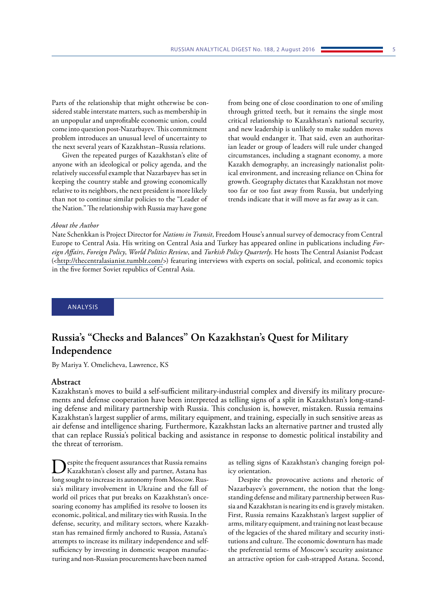<span id="page-4-0"></span>Parts of the relationship that might otherwise be considered stable interstate matters, such as membership in an unpopular and unprofitable economic union, could come into question post-Nazarbayev. This commitment problem introduces an unusual level of uncertainty to the next several years of Kazakhstan–Russia relations.

Given the repeated purges of Kazakhstan's elite of anyone with an ideological or policy agenda, and the relatively successful example that Nazarbayev has set in keeping the country stable and growing economically relative to its neighbors, the next president is more likely than not to continue similar policies to the "Leader of the Nation." The relationship with Russia may have gone

from being one of close coordination to one of smiling through gritted teeth, but it remains the single most critical relationship to Kazakhstan's national security, and new leadership is unlikely to make sudden moves that would endanger it. That said, even an authoritarian leader or group of leaders will rule under changed circumstances, including a stagnant economy, a more Kazakh demography, an increasingly nationalist political environment, and increasing reliance on China for growth. Geography dictates that Kazakhstan not move too far or too fast away from Russia, but underlying trends indicate that it will move as far away as it can.

#### *About the Author*

Nate Schenkkan is Project Director for *Nations in Transit*, Freedom House's annual survey of democracy from Central Europe to Central Asia. His writing on Central Asia and Turkey has appeared online in publications including *Foreign Affairs*, *Foreign Policy*, *World Politics Review*, and *Turkish Policy Quarterly*. He hosts The Central Asianist Podcast ([<http://thecentralasianist.tumblr.com/](http://thecentralasianist.tumblr.com/)>) featuring interviews with experts on social, political, and economic topics in the five former Soviet republics of Central Asia.

ANALYSIS

# **Russia's "Checks and Balances" On Kazakhstan's Quest for Military Independence**

By Mariya Y. Omelicheva, Lawrence, KS

## **Abstract**

Kazakhstan's moves to build a self-sufficient military-industrial complex and diversify its military procurements and defense cooperation have been interpreted as telling signs of a split in Kazakhstan's long-standing defense and military partnership with Russia. This conclusion is, however, mistaken. Russia remains Kazakhstan's largest supplier of arms, military equipment, and training, especially in such sensitive areas as air defense and intelligence sharing. Furthermore, Kazakhstan lacks an alternative partner and trusted ally that can replace Russia's political backing and assistance in response to domestic political instability and the threat of terrorism.

Despite the frequent assurances that Russia remains Kazakhstan's closest ally and partner, Astana has long sought to increase its autonomy from Moscow. Russia's military involvement in Ukraine and the fall of world oil prices that put breaks on Kazakhstan's oncesoaring economy has amplified its resolve to loosen its economic, political, and military ties with Russia. In the defense, security, and military sectors, where Kazakhstan has remained firmly anchored to Russia, Astana's attempts to increase its military independence and selfsufficiency by investing in domestic weapon manufacturing and non-Russian procurements have been named

as telling signs of Kazakhstan's changing foreign policy orientation.

Despite the provocative actions and rhetoric of Nazarbayev's government, the notion that the longstanding defense and military partnership between Russia and Kazakhstan is nearing its end is gravely mistaken. First, Russia remains Kazakhstan's largest supplier of arms, military equipment, and training not least because of the legacies of the shared military and security institutions and culture. The economic downturn has made the preferential terms of Moscow's security assistance an attractive option for cash-strapped Astana. Second,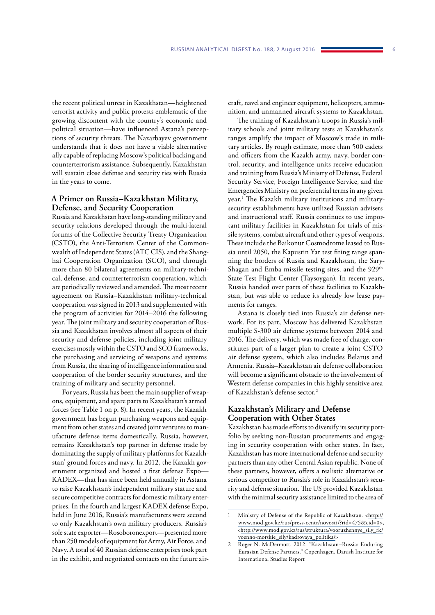the recent political unrest in Kazakhstan—heightened terrorist activity and public protests emblematic of the growing discontent with the country's economic and political situation—have influenced Astana's perceptions of security threats. The Nazarbayev government understands that it does not have a viable alternative ally capable of replacing Moscow's political backing and counterterrorism assistance. Subsequently, Kazakhstan will sustain close defense and security ties with Russia in the years to come.

## **A Primer on Russia–Kazakhstan Military, Defense, and Security Cooperation**

Russia and Kazakhstan have long-standing military and security relations developed through the multi-lateral forums of the Collective Security Treaty Organization (CSTO), the Anti-Terrorism Center of the Commonwealth of Independent States (ATC CIS), and the Shanghai Cooperation Organization (SCO), and through more than 80 bilateral agreements on military-technical, defense, and counterterrorism cooperation, which are periodically reviewed and amended. The most recent agreement on Russia–Kazakhstan military-technical cooperation was signed in 2013 and supplemented with the program of activities for 2014–2016 the following year. The joint military and security cooperation of Russia and Kazakhstan involves almost all aspects of their security and defense policies, including joint military exercises mostly within the CSTO and SCO frameworks, the purchasing and servicing of weapons and systems from Russia, the sharing of intelligence information and cooperation of the border security structures, and the training of military and security personnel.

For years, Russia has been the main supplier of weapons, equipment, and spare parts to Kazakhstan's armed forces (see Table 1 on p. 8). In recent years, the Kazakh government has begun purchasing weapons and equipment from other states and created joint ventures to manufacture defense items domestically. Russia, however, remains Kazakhstan's top partner in defense trade by dominating the supply of military platforms for Kazakhstan' ground forces and navy. In 2012, the Kazakh government organized and hosted a first defense Expo— KADEX—that has since been held annually in Astana to raise Kazakhstan's independent military stature and secure competitive contracts for domestic military enterprises. In the fourth and largest KADEX defense Expo, held in June 2016, Russia's manufacturers were second to only Kazakhstan's own military producers. Russia's sole state exporter—Rosoboronexport—presented more than 250 models of equipment for Army, Air Force, and Navy. A total of 40 Russian defense enterprises took part in the exhibit, and negotiated contacts on the future aircraft, navel and engineer equipment, helicopters, ammunition, and unmanned aircraft systems to Kazakhstan.

The training of Kazakhstan's troops in Russia's military schools and joint military tests at Kazakhstan's ranges amplify the impact of Moscow's trade in military articles. By rough estimate, more than 500 cadets and officers from the Kazakh army, navy, border control, security, and intelligence units receive education and training from Russia's Ministry of Defense, Federal Security Service, Foreign Intelligence Service, and the Emergencies Ministry on preferential terms in any given year.1 The Kazakh military institutions and militarysecurity establishments have utilized Russian advisers and instructional staff. Russia continues to use important military facilities in Kazakhstan for trials of missile systems, combat aircraft and other types of weapons. These include the Baikonur Cosmodrome leased to Russia until 2050, the Kapustin Yar test firing range spanning the borders of Russia and Kazakhstan, the Sary-Shagan and Emba missile testing sites, and the 929<sup>th</sup> State Test Flight Center (Taysoygan). In recent years, Russia handed over parts of these facilities to Kazakhstan, but was able to reduce its already low lease payments for ranges.

Astana is closely tied into Russia's air defense network. For its part, Moscow has delivered Kazakhstan multiple S-300 air defense systems between 2014 and 2016. The delivery, which was made free of charge, constitutes part of a larger plan to create a joint CSTO air defense system, which also includes Belarus and Armenia. Russia–Kazakhstan air defense collaboration will become a significant obstacle to the involvement of Western defense companies in this highly sensitive area of Kazakhstan's defense sector.2

## **Kazakhstan's Military and Defense Cooperation with Other States**

Kazakhstan has made efforts to diversify its security portfolio by seeking non-Russian procurements and engaging in security cooperation with other states. In fact, Kazakhstan has more international defense and security partners than any other Central Asian republic. None of these partners, however, offers a realistic alternative or serious competitor to Russia's role in Kazakhstan's security and defense situation. The US provided Kazakhstan with the minimal security assistance limited to the area of

<sup>1</sup> Ministry of Defense of the Republic of Kazakhstan. <[http://](http://www.mod.gov.kz/rus/press-centr/novosti/?rid=475&cid=0) [www.mod.gov.kz/rus/press-centr/novosti/?rid=475&cid=0>](http://www.mod.gov.kz/rus/press-centr/novosti/?rid=475&cid=0), [<http://www.mod.gov.kz/rus/struktura/vooruzhennye\\_sily\\_rk/](http://www.mod.gov.kz/rus/struktura/vooruzhennye_sily_rk/voenno-morskie_sily/kadrovaya_politika/) [voenno-morskie\\_sily/kadrovaya\\_politika/](http://www.mod.gov.kz/rus/struktura/vooruzhennye_sily_rk/voenno-morskie_sily/kadrovaya_politika/)>

<sup>2</sup> Roger N. McDermott. 2012. "Kazakhstan–Russia: Enduring Eurasian Defense Partners." Copenhagen, Danish Institute for International Studies Report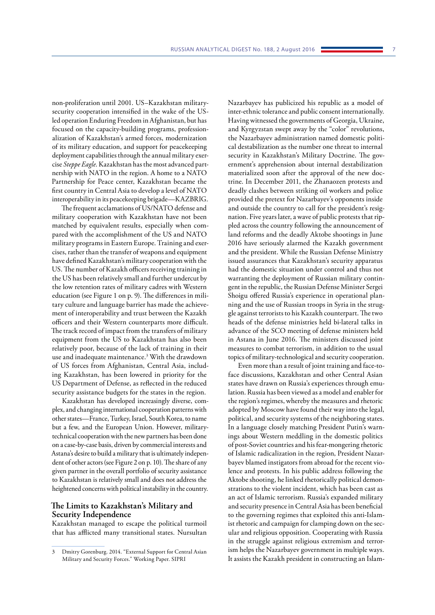non-proliferation until 2001. US–Kazakhstan militarysecurity cooperation intensified in the wake of the USled operation Enduring Freedom in Afghanistan, but has focused on the capacity-building programs, professionalization of Kazakhstan's armed forces, modernization of its military education, and support for peacekeeping deployment capabilities through the annual military exercise *Steppe Eagle*. Kazakhstan has the most advanced partnership with NATO in the region. A home to a NATO Partnership for Peace center, Kazakhstan became the first country in Central Asia to develop a level of NATO interoperability in its peacekeeping brigade—KAZBRIG.

The frequent acclamations of US/NATO defense and military cooperation with Kazakhstan have not been matched by equivalent results, especially when compared with the accomplishment of the US and NATO military programs in Eastern Europe. Training and exercises, rather than the transfer of weapons and equipment have defined Kazakhstan's military cooperation with the US. The number of Kazakh officers receiving training in the US has been relatively small and further undercut by the low retention rates of military cadres with Western education (see Figure 1 on p. 9). The differences in military culture and language barrier has made the achievement of interoperability and trust between the Kazakh officers and their Western counterparts more difficult. The track record of impact from the transfers of military equipment from the US to Kazakhstan has also been relatively poor, because of the lack of training in their use and inadequate maintenance.3 With the drawdown of US forces from Afghanistan, Central Asia, including Kazakhstan, has been lowered in priority for the US Department of Defense, as reflected in the reduced security assistance budgets for the states in the region.

Kazakhstan has developed increasingly diverse, complex, and changing international cooperation patterns with other states—France, Turkey, Israel, South Korea, to name but a few, and the European Union. However, militarytechnical cooperation with the new partners has been done on a case-by-case basis, driven by commercial interests and Astana's desire to build a military that is ultimately independent of other actors (see Figure 2 on p. 10). The share of any given partner in the overall portfolio of security assistance to Kazakhstan is relatively small and does not address the heightened concerns with political instability in the country.

#### **The Limits to Kazakhstan's Military and Security Independence**

Kazakhstan managed to escape the political turmoil that has afflicted many transitional states. Nursultan Nazarbayev has publicized his republic as a model of inter-ethnic tolerance and public consent internationally. Having witnessed the governments of Georgia, Ukraine, and Kyrgyzstan swept away by the "color" revolutions, the Nazarbayev administration named domestic political destabilization as the number one threat to internal security in Kazakhstan's Military Doctrine. The government's apprehension about internal destabilization materialized soon after the approval of the new doctrine. In December 2011, the Zhanaozen protests and deadly clashes between striking oil workers and police provided the pretext for Nazarbayev's opponents inside and outside the country to call for the president's resignation. Five years later, a wave of public protests that rippled across the country following the announcement of land reforms and the deadly Aktobe shootings in June 2016 have seriously alarmed the Kazakh government and the president. While the Russian Defense Ministry issued assurances that Kazakhstan's security apparatus had the domestic situation under control and thus not warranting the deployment of Russian military contingent in the republic, the Russian Defense Minister Sergei Shoigu offered Russia's experience in operational planning and the use of Russian troops in Syria in the struggle against terrorists to his Kazakh counterpart. The two heads of the defense ministries held bi-lateral talks in advance of the SCO meeting of defense ministers held in Astana in June 2016. The ministers discussed joint measures to combat terrorism, in addition to the usual topics of military-technological and security cooperation.

Even more than a result of joint training and face-toface discussions, Kazakhstan and other Central Asian states have drawn on Russia's experiences through emulation. Russia has been viewed as a model and enabler for the region's regimes, whereby the measures and rhetoric adopted by Moscow have found their way into the legal, political, and security systems of the neighboring states. In a language closely matching President Putin's warnings about Western meddling in the domestic politics of post-Soviet countries and his fear-mongering rhetoric of Islamic radicalization in the region, President Nazarbayev blamed instigators from abroad for the recent violence and protests. In his public address following the Aktobe shooting, he linked rhetorically political demonstrations to the violent incident, which has been cast as an act of Islamic terrorism. Russia's expanded military and security presence in Central Asia has been beneficial to the governing regimes that exploited this anti-Islamist rhetoric and campaign for clamping down on the secular and religious opposition. Cooperating with Russia in the struggle against religious extremism and terrorism helps the Nazarbayev government in multiple ways. It assists the Kazakh president in constructing an Islam-

<sup>3</sup> Dmitry Gorenburg. 2014. "External Support for Central Asian Military and Security Forces." Working Paper. SIPRI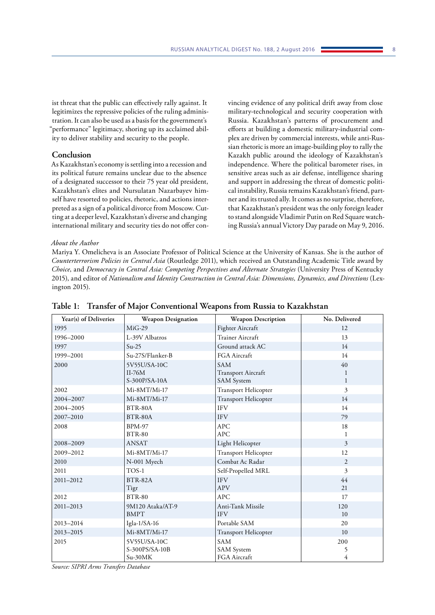ist threat that the public can effectively rally against. It legitimizes the repressive policies of the ruling administration. It can also be used as a basis for the government's "performance" legitimacy, shoring up its acclaimed ability to deliver stability and security to the people.

## **Conclusion**

As Kazakhstan's economy is settling into a recession and its political future remains unclear due to the absence of a designated successor to their 75 year old president, Kazakhstan's elites and Nursulatan Nazarbayev himself have resorted to policies, rhetoric, and actions interpreted as a sign of a political divorce from Moscow. Cutting at a deeper level, Kazakhstan's diverse and changing international military and security ties do not offer convincing evidence of any political drift away from close military-technological and security cooperation with Russia. Kazakhstan's patterns of procurement and efforts at building a domestic military-industrial complex are driven by commercial interests, while anti-Russian rhetoric is more an image-building ploy to rally the Kazakh public around the ideology of Kazakhstan's independence. Where the political barometer rises, in sensitive areas such as air defense, intelligence sharing and support in addressing the threat of domestic political instability, Russia remains Kazakhstan's friend, partner and its trusted ally. It comes as no surprise, therefore, that Kazakhstan's president was the only foreign leader to stand alongside Vladimir Putin on Red Square watching Russia's annual Victory Day parade on May 9, 2016.

#### *About the Author*

Mariya Y. Omelicheva is an Associate Professor of Political Science at the University of Kansas. She is the author of *Counterterrorism Policies in Central Asia* (Routledge 2011), which received an Outstanding Academic Title award by *Choice*, and *Democracy in Central Asia: Competing Perspectives and Alternate Strategies* (University Press of Kentucky 2015), and editor of *Nationalism and Identity Construction in Central Asia: Dimensions, Dynamics, and Directions* (Lexington 2015).

| Year(s) of Deliveries | <b>Weapon Designation</b> | <b>Weapon Description</b>   | No. Delivered  |
|-----------------------|---------------------------|-----------------------------|----------------|
| 1995                  | $MiG-29$                  | Fighter Aircraft            | 12             |
| 1996-2000             | L-39V Albatros            | Trainer Aircraft            | 13             |
| 1997                  | $Su-25$                   | Ground attack AC            | 14             |
| 1999-2001             | Su-27S/Flanker-B          | FGA Aircraft                | 14             |
| 2000                  | 5V55U/SA-10C              | <b>SAM</b>                  | 40             |
|                       | $II-76M$                  | Transport Aircraft          | 1              |
|                       | S-300P/SA-10A             | <b>SAM</b> System           | $\mathbf{1}$   |
| 2002                  | Mi-8MT/Mi-17              | Transport Helicopter        | 3              |
| 2004-2007             | Mi-8MT/Mi-17              | Transport Helicopter        | 14             |
| 2004-2005             | BTR-80A                   | <b>IFV</b>                  | 14             |
| 2007-2010             | BTR-80A                   | <b>IFV</b>                  | 79             |
| 2008                  | <b>BPM-97</b>             | <b>APC</b>                  | 18             |
|                       | <b>BTR-80</b>             | <b>APC</b>                  | 1              |
| 2008-2009             | <b>ANSAT</b>              | Light Helicopter            | 3              |
| 2009-2012             | Mi-8MT/Mi-17              | <b>Transport Helicopter</b> | 12             |
| 2010                  | N-001 Myech               | Combat Ac Radar             | $\overline{2}$ |
| 2011                  | TOS-1                     | Self-Propelled MRL          | 3              |
| 2011-2012             | BTR-82A                   | <b>IFV</b>                  | 44             |
|                       | Tigr                      | <b>APV</b>                  | 21             |
| 2012                  | <b>BTR-80</b>             | APC                         | 17             |
| 2011-2013             | 9M120 Ataka/AT-9          | Anti-Tank Missile           | 120            |
|                       | <b>BMPT</b>               | <b>IFV</b>                  | 10             |
| 2013-2014             | Igla- $1/SA-16$           | Portable SAM                | 20             |
| 2013-2015             | Mi-8MT/Mi-17              | Transport Helicopter        | 10             |
| 2015                  | 5V55U/SA-10C              | <b>SAM</b>                  | 200            |
|                       | S-300PS/SA-10B            | SAM System                  | 5              |
|                       | $Su-30MK$                 | FGA Aircraft                | 4              |

#### **Table 1: Transfer of Major Conventional Weapons from Russia to Kazakhstan**

*Source: SIPRI Arms Transfers Database*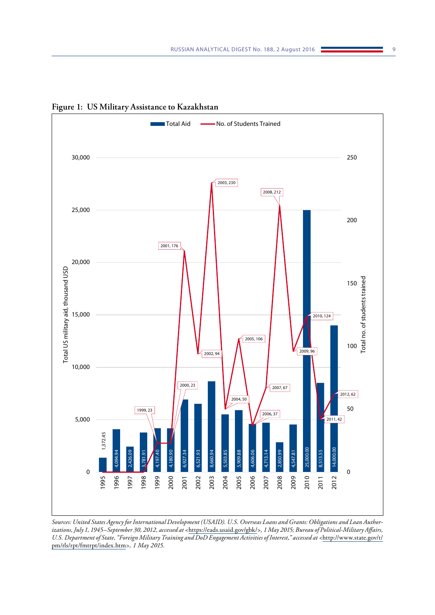

**Figure 1: US Military Assistance to Kazakhstan**

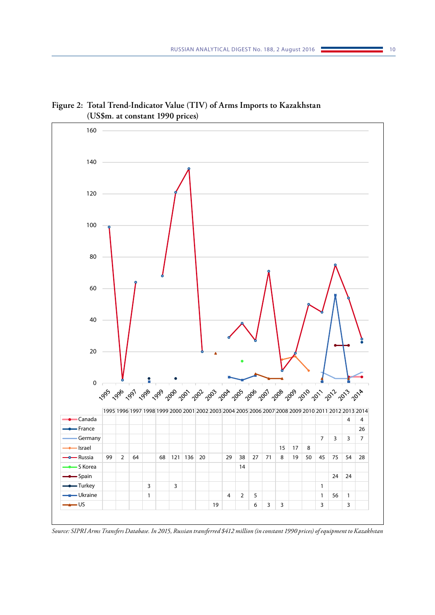

**Figure 2: Total Trend-Indicator Value (TIV) of Arms Imports to Kazakhstan (US\$m. at constant 1990 prices)**

*Source: SIPRI Arms Transfers Database. In 2015, Russian transferred \$412 million (in constant 1990 prices) of equipment to Kazakhstan*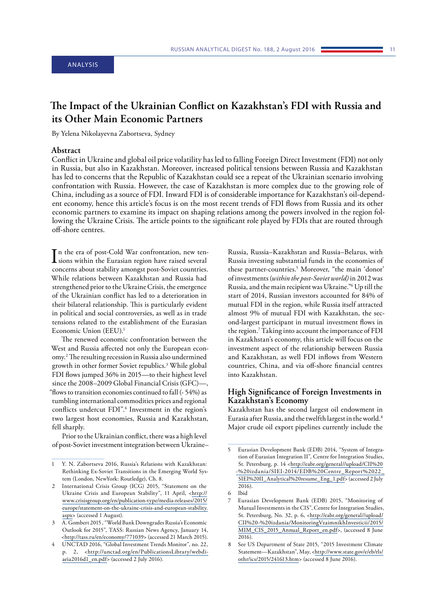#### <span id="page-10-0"></span>ANALYSIS

# **The Impact of the Ukrainian Conflict on Kazakhstan's FDI with Russia and its Other Main Economic Partners**

By Yelena Nikolayevna Zabortseva, Sydney

#### **Abstract**

Conflict in Ukraine and global oil price volatility has led to falling Foreign Direct Investment (FDI) not only in Russia, but also in Kazakhstan. Moreover, increased political tensions between Russia and Kazakhstan has led to concerns that the Republic of Kazakhstan could see a repeat of the Ukrainian scenario involving confrontation with Russia. However, the case of Kazakhstan is more complex due to the growing role of China, including as a source of FDI. Inward FDI is of considerable importance for Kazakhstan's oil-dependent economy, hence this article's focus is on the most recent trends of FDI flows from Russia and its other economic partners to examine its impact on shaping relations among the powers involved in the region following the Ukraine Crisis. The article points to the significant role played by FDIs that are routed through off-shore centres.

In the era of post-Cold War confrontation, new ten-<br>sions within the Eurasian region have raised several sions within the Eurasian region have raised several concerns about stability amongst post-Soviet countries. While relations between Kazakhstan and Russia had strengthened prior to the Ukraine Crisis, the emergence of the Ukrainian conflict has led to a deterioration in their bilateral relationship. This is particularly evident in political and social controversies, as well as in trade tensions related to the establishment of the Eurasian Economic Union (EEU).1

The renewed economic confrontation between the West and Russia affected not only the European economy.2 The resulting recession in Russia also undermined growth in other former Soviet republics.3 While global FDI flows jumped 36% in 2015—to their highest level since the 2008–2009 Global Financial Crisis (GFC)—, "flows to transition economies continued to fall (- 54%) as tumbling international commodities prices and regional conflicts undercut FDI".<sup>4</sup> Investment in the region's two largest host economies, Russia and Kazakhstan, fell sharply.

Prior to the Ukrainian conflict, there was a high level of post-Soviet investment integration between Ukraine– Russia, Russia–Kazakhstan and Russia–Belarus, with Russia investing substantial funds in the economies of these partner-countries.5 Moreover, "the main 'donor' of investments (*within the post-Soviet world)* in 2012 was Russia, and the main recipient was Ukraine."6 Up till the start of 2014, Russian investors accounted for 84% of mutual FDI in the region, while Russia itself attracted almost 9% of mutual FDI with Kazakhstan, the second-largest participant in mutual investment flows in the region.7 Taking into account the importance of FDI in Kazakhstan's economy, this article will focus on the investment aspect of the relationship between Russia and Kazakhstan, as well FDI inflows from Western countries, China, and via off-shore financial centres into Kazakhstan.

## **High Significance of Foreign Investments in Kazakhstan's Economy**

Kazakhstan has the second largest oil endowment in Eurasia after Russia, and the twelfth largest in the world.8 Major crude oil export pipelines currently include the

<sup>1</sup> Y. N. Zabortseva 2016, Russia's Relations with Kazakhstan: Rethinking Ex-Soviet Transitions in the Emerging World System (London, NewYork: Routledge), Ch. 8.

International Crisis Group (ICG) 2015, "Statement on the Ukraine Crisis and European Stability", 11 April, <[http://](http://www.crisisgroup.org/en/publication-type/media-releases/2015/europe/statement-on-the-ukraine-crisis-and-european-stability.aspx) [www.crisisgroup.org/en/publication-type/media-releases/2015/](http://www.crisisgroup.org/en/publication-type/media-releases/2015/europe/statement-on-the-ukraine-crisis-and-european-stability.aspx) [europe/statement-on-the-ukraine-crisis-and-european-stability.](http://www.crisisgroup.org/en/publication-type/media-releases/2015/europe/statement-on-the-ukraine-crisis-and-european-stability.aspx) [aspx](http://www.crisisgroup.org/en/publication-type/media-releases/2015/europe/statement-on-the-ukraine-crisis-and-european-stability.aspx)> (accessed 1 August).

<sup>3</sup> A. Gombert 2015 , "World Bank Downgrades Russia's Economic Outlook for 2015", TASS: Russian News Agency, January 14, [<http://tass.ru/en/economy/771039>](http://tass.ru/en/economy/771039) (accessed 21 March 2015).

<sup>4</sup> UNCTAD 2016, "Global Investment Trends Monitor", no. 22, p. 2, <[http://unctad.org/en/PublicationsLibrary/webdi](http://unctad.org/en/PublicationsLibrary/webdiaeia2016d1_en.pdf)[aeia2016d1\\_en.pdf](http://unctad.org/en/PublicationsLibrary/webdiaeia2016d1_en.pdf)> (accessed 2 July 2016).

<sup>5</sup> Eurasian Development Bank (EDB) 2014, "System of Integration of Eurasian Integration II", Centre for Integration Studies, St. Petersburg, p. 14 <[http://eabr.org/general//upload/CII%20](http://eabr.org/general//upload/CII - izdania/SIEI-2014/EDB Centre_Report 22_SIEI II_Analytical resume_Eng_1.pdf) [-%20izdania/SIEI-2014/EDB%20Centre\\_Report%2022\\_](http://eabr.org/general//upload/CII - izdania/SIEI-2014/EDB Centre_Report 22_SIEI II_Analytical resume_Eng_1.pdf) [SIEI%20II\\_Analytical%20resume\\_Eng\\_1.pdf>](http://eabr.org/general//upload/CII - izdania/SIEI-2014/EDB Centre_Report 22_SIEI II_Analytical resume_Eng_1.pdf) (accessed 2 July 2016).

<sup>6</sup> Ibid

<sup>7</sup> Eurasian Development Bank (EDB) 2015, "Monitoring of Mutual Investments in the CIS", Centre for Integration Studies, St. Petersburg, No. 32, p. 6, [<http://eabr.org/general//upload/](http://eabr.org/general//upload/CII - izdania/MonitoringVzaimnikhInvesticii/2015/MIM_CIS_2015_Annual_Report_en.pdf) [CII%20-%20izdania/MonitoringVzaimnikhInvesticii/2015/](http://eabr.org/general//upload/CII - izdania/MonitoringVzaimnikhInvesticii/2015/MIM_CIS_2015_Annual_Report_en.pdf) [MIM\\_CIS\\_2015\\_Annual\\_Report\\_en.pdf](http://eabr.org/general//upload/CII - izdania/MonitoringVzaimnikhInvesticii/2015/MIM_CIS_2015_Annual_Report_en.pdf)>, (accessed 8 June 2016).

<sup>8</sup> See US Department of State 2015, "2015 Investment Climate Statement—Kazakhstan", May, <[http://www.state.gov/e/eb/rls/](http://www.state.gov/e/eb/rls/othr/ics/2015/241613.htm) [othr/ics/2015/241613.htm](http://www.state.gov/e/eb/rls/othr/ics/2015/241613.htm)> (accessed 8 June 2016).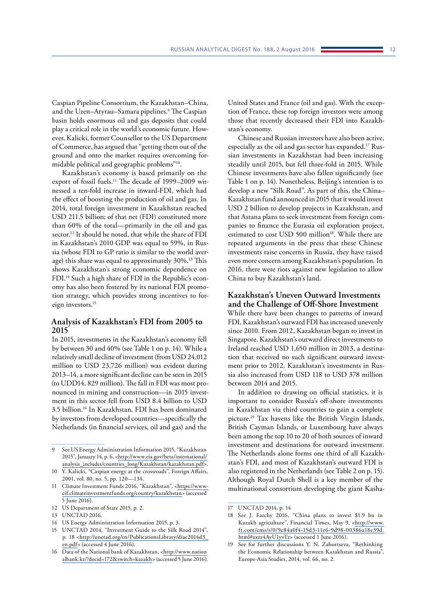Caspian Pipeline Consortium, the Kazakhstan–China, and the Uzen–Atyrau–Samara pipelines.9 The Caspian basin holds enormous oil and gas deposits that could play a critical role in the world's economic future. However, Kalicki, former Counsellor to the US Department of Commerce, has argued that "getting them out of the ground and onto the market requires overcoming formidable political and geographic problems"10.

Kazakhstan's economy is based primarily on the export of fossil fuels.<sup>11</sup> The decade of 1999–2009 witnessed a ten-fold increase in inward-FDI, which had the effect of boosting the production of oil and gas. In 2014, total foreign investment in Kazakhstan reached USD 211.5 billion; of that net (FDI) constituted more than 60% of the total—primarily in the oil and gas sector.12 It should be noted, that while the share of FDI in Kazakhstan's 2010 GDP was equal to 59%, in Russia (whose FDI to GP ratio is similar to the world average) this share was equal to approximately 30%.<sup>13</sup> This shows Kazakhstan's strong economic dependence on FDI.14 Such a high share of FDI in the Republic's economy has also been fostered by its national FDI promotion strategy, which provides strong incentives to foreign investors.15

## **Analysis of Kazakhstan's FDI from 2005 to 2015**

In 2015, [investments in the Kazakhstan's economy fell](http://export.gov.kz/en/news-30086-ministry_of_investment_and_development_expects_decrease_of_volume_of_investments_by_30_40_) [by between 30 and 40%](http://export.gov.kz/en/news-30086-ministry_of_investment_and_development_expects_decrease_of_volume_of_investments_by_30_40_) (see Table 1 on p. 14). While a relatively small decline of investment (from USD 24,012 million to USD 23,726 million) was evident during 2013–14, a more significant decline can be seen in 2015 (to UDD14, 829 million). The fall in FDI was most pronounced in mining and construction—in 2015 investment in this sector fell from USD 8.4 billion to USD 3.5 billion.16 In Kazakhstan, FDI has been dominated by investors from developed countries—specifically the Netherlands (in financial services, oil and gas) and the

14 US Energy Administration Information 2015, p. 3.

United States and France (oil and gas). With the exception of France, these top foreign investors were among those that recently decreased their FDI into Kazakhstan's economy.

Chinese and Russian investors have also been active, especially as the oil and gas sector has expanded.17 Russian investments in Kazakhstan had been increasing steadily until 2015, but fell three-fold in 2015. While Chinese investments have also fallen significantly (see Table 1 on p. 14). Nonetheless, Beijing's intention is to develop a new "Silk Road". As part of this, the China– Kazakhstan fund [announced in 2015 that it would invest](http://export.gov.kz/en/news-31941-capitalization_of_the_kazakh_chinese_fund____silk_road____to_be__2_bln__kaznex_invest) [USD 2 billion to develop projects in Kazakhstan](http://export.gov.kz/en/news-31941-capitalization_of_the_kazakh_chinese_fund____silk_road____to_be__2_bln__kaznex_invest), and that Astana plans to seek investment from foreign companies to [finance the Eurasia oil exploration project](http://export.gov.kz/en/news-31425-kazakhstan_exploring_foreign_companies__participation_in_eurasia_project), estimated to cost USD 500 million<sup>18</sup>. While there are repeated arguments in the press that these Chinese investments raise concerns in Russia, they have raised even more concern among Kazakhstan's population. In 2016, there were riots against new legislation to allow China to buy Kazakhstan's land.

#### **Kazakhstan's Uneven Outward Investments and the Challenge of Off-Shore Investment**

While there have been changes to patterns of inward FDI, Kazakhstan's outward FDI has increased unevenly since 2010. From 2012, Kazakhstan began to invest in Singapore. Kazakhstan's outward direct investments to Ireland reached USD 1,650 million in 2013, a destination that received no such significant outward investment prior to 2012. Kazakhstan's investments in Russia also increased from USD 118 to USD 378 million between 2014 and 2015.

In addition to drawing on official statistics, it is important to consider Russia's off-shore investments in Kazakhstan via third countries to gain a complete picture.19 Tax havens like the British Virgin Islands, British Cayman Islands, or Luxembourg have always been among the top 10 to 20 of both sources of inward investment and destinations for outward investment. The Netherlands alone forms one third of all Kazakhstan's FDI, and most of Kazakhstan's outward FDI is also registered in the Netherlands (see Table 2 on p. 15). Although Royal Dutch Shell is a key member of the multinational consortium developing the giant Kasha-

<sup>9</sup> See US Energy Administration Information 2015, "Kazakhstan 2015", January 14, p. 6, <[http://www.eia.gov/beta/international/](http://www.eia.gov/beta/international/analysis_includes/countries_long/Kazakhstan/kazakhstan.pdf) [analysis\\_includes/countries\\_long/Kazakhstan/kazakhstan.pdf](http://www.eia.gov/beta/international/analysis_includes/countries_long/Kazakhstan/kazakhstan.pdf)>.

<sup>10</sup> Y. Kalicki, "Caspian energy at the crossroads", Foreign Affairs, 2001, vol. 80, no. 5, pp. 120—134.

<sup>11</sup> Climate Investment Funds 2016, "Kazakhstan", <[https://www](https://www-cif.climateinvestmentfunds.org/country/kazakhstan)[cif.climateinvestmentfunds.org/country/kazakhstan](https://www-cif.climateinvestmentfunds.org/country/kazakhstan)> (accessed 5 June 2016).

<sup>12</sup> US Department of State 2015, p. 2.

<sup>13</sup> UNCTAD 2016.

<sup>15</sup> UNCTAD 2014, "Investment Guide to the Silk Road 2014", p. 18 <[http://unctad.org/en/PublicationsLibrary/diae2014d3\\_](http://unctad.org/en/PublicationsLibrary/diae2014d3_en.pdf) [en.pdf>](http://unctad.org/en/PublicationsLibrary/diae2014d3_en.pdf) (accessed 4 June 2016).

<sup>16</sup> Data of the National bank of Kazakhstan, <[http://www.nation](http://www.nationalbank.kz/?docid=172&switch=kazakh) [albank.kz/?docid=172&switch=kazakh](http://www.nationalbank.kz/?docid=172&switch=kazakh)> (accessed 5 June 2016).

<sup>17</sup> UNCTAD 2014, p. 14

<sup>18</sup> See J. Farchy 2016, "China plans to invest \$1.9 bn in Kazakh agriculture", Financial Times, May 9, <[http://www.](http://www.ft.com/cms/s/0/9c84a0f4-15d3-11e6-9d98-00386a18e39d.html#axzz4AyU1yvTz) [ft.com/cms/s/0/9c84a0f4-15d3-11e6-9d98-00386a18e39d.](http://www.ft.com/cms/s/0/9c84a0f4-15d3-11e6-9d98-00386a18e39d.html#axzz4AyU1yvTz) [html#axzz4AyU1yvTz>](http://www.ft.com/cms/s/0/9c84a0f4-15d3-11e6-9d98-00386a18e39d.html#axzz4AyU1yvTz) (accessed 1 June 2016).

See for further discussions Y. N. Zabortseva, "Rethinking the Economic Relationship between Kazakhstan and Russia", Europe-Asia Studies, 2014, vol. 66, no. 2.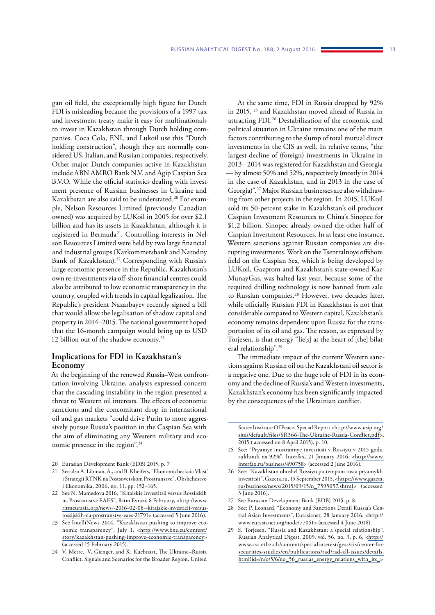gan oil field, the exceptionally high figure for Dutch FDI is misleading because the provisions of a 1997 tax and investment treaty make it easy for multinationals to invest in Kazakhstan through Dutch holding companies. Coca Cola, ENI, and Lukoil use this "Dutch holding construction", though they are normally considered US, Italian, and Russian companies, respectively. Other major Dutch companies active in Kazakhstan include ABN AMRO Bank N.V. and Agip Caspian Sea B.V.O. While the official statistics dealing with investment presence of Russian businesses in Ukraine and Kazakhstan are also said to be understated.20 For example, Nelson Resources Limited (previously Canadian owned) was acquired by LUKoil in 2005 for over \$2.1 billion and has its assets in Kazakhstan, although it is registered in Bermuda<sup>21</sup>. Controlling interests in Nelson Resources Limited were held by two large financial and industrial groups (Kazkommersbank and Narodny Bank of Kazakhstan).<sup>22</sup> Corresponding with Russia's large economic presence in the Republic, Kazakhstan's own re-investments via off-shore financial centres could also be attributed to low economic transparency in the country, coupled with trends in capital legalization. The Republic's president Nazarbayev recently signed a bill that would allow the legalisation of shadow capital and property in 2014–2015. The national government hoped that the 16-month campaign would bring up to USD 12 billion out of the shadow economy.<sup>23</sup>

## **Implications for FDI in Kazakhstan's Economy**

At the beginning of the renewed Russia–West confrontation involving Ukraine, analysts expressed concern that the cascading instability in the region presented a threat to Western oil interests. The effects of economic sanctions and the concomitant drop in international oil and gas markets "could drive Putin to more aggressively pursue Russia's position in the Caspian Sea with the aim of eliminating any Western military and economic presence in the region".24

At the same time, FDI in Russia dropped by 92% in 2015, 25 and Kazakhstan moved ahead of Russia in attracting FDI.26 Destabilization of the economic and political situation in Ukraine remains one of the main factors contributing to the slump of total mutual direct investments in the CIS as well. In relative terms, "the largest decline of (foreign) investments in Ukraine in 2013– 2014 was registered for Kazakhstan and Georgia — by almost 50% and 52%, respectively (mostly in 2014 in the case of Kazakhstan, and in 2013 in the case of Georgia)".27 Major Russian businesses are also withdrawing from other projects in the region. In 2015, LUKoil sold its 50-percent stake in Kazakhstan's oil producer Caspian Investment Resources to China's Sinopec for \$1.2 billion. Sinopec already owned the other half of Caspian Investment Resources. In at least one instance, Western sanctions against Russian companies are disrupting investments. Work on the Tsentralnoye offshore field on the Caspian Sea, which is being developed by LUKoil, Gazprom and Kazakhstan's state-owned Kaz-MunayGas, was halted last year, because some of the required drilling technology is now banned from sale to Russian companies.<sup>28</sup> However, two decades later, while officially Russian FDI in Kazakhstan is not that considerable compared to Western capital, Kazakhstan's economy remains dependent upon Russia for the transportation of its oil and gas. The reason, as expressed by Torjesen, is that energy "lie[s] at the heart of [the] bilateral relationship".29

The immediate impact of the current Western sanctions against Russian oil on the Kazakhstani oil sector is a negative one. Due to the huge role of FDI in its economy and the decline of Russia's and Western investments, Kazakhstan's economy has been significantly impacted by the consequences of the Ukrainian conflict.

States Institute Of Peace, Special Report <[http://www.usip.org/](http://www.usip.org/sites/default/files/SR366-The-Ukraine-Russia-Conflict.pdf) [sites/default/files/SR366-The-Ukraine-Russia-Conflict.pdf>](http://www.usip.org/sites/default/files/SR366-The-Ukraine-Russia-Conflict.pdf), 2015 ( accessed on 8 April 2015), p. 10.

- 28 See: P. Leonard, "Economy and Sanctions Derail Russia's Central Asian Investments", Eurasianet, 28 January 2016, <http:// www.eurasianet.org/node/77051> (accessed 4 June 2016).
- 29 S. Torjesen, "Russia and Kazakhstan: a special relationship", Russian Analytical Digest, 2009, vol. 56, no. 3, p. 6, [<http://](http://www.css.ethz.ch/content/specialinterest/gess/cis/center-for-securities-studies/en/publications/rad/rad-all-issues/details.html?id=/n/o/5/6/no_56_russias_energy_relations_with_its_) [www.css.ethz.ch/content/specialinterest/gess/cis/center-for](http://www.css.ethz.ch/content/specialinterest/gess/cis/center-for-securities-studies/en/publications/rad/rad-all-issues/details.html?id=/n/o/5/6/no_56_russias_energy_relations_with_its_)[securities-studies/en/publications/rad/rad-all-issues/details.](http://www.css.ethz.ch/content/specialinterest/gess/cis/center-for-securities-studies/en/publications/rad/rad-all-issues/details.html?id=/n/o/5/6/no_56_russias_energy_relations_with_its_) [html?id=/n/o/5/6/no\\_56\\_russias\\_energy\\_relations\\_with\\_its\\_](http://www.css.ethz.ch/content/specialinterest/gess/cis/center-for-securities-studies/en/publications/rad/rad-all-issues/details.html?id=/n/o/5/6/no_56_russias_energy_relations_with_its_)>

<sup>20</sup> Eurasian Development Bank (EDB) 2015, p. 7

<sup>21</sup> See also A. Libman, A., and B. Kheifets, "Ekonomicheskaia Vlast' i Strategii RTNK na Postsovetskom Prostranstve", Obshchestvo i Ekonomika, 2006, no. 11, pp. 152–165.

<sup>22</sup> See N. Mamedova 2016, "Kitaiskie Investitsii versus Rossiiskih na Prostranstve EAES", Ritm Evrazi, 8 February, <[http://www.](http://www.ritmeurasia.org/news--2016-02-08--kitajskie-investicii-versus-rossijskih-na-prostranstve-eaes-21791) [ritmeurasia.org/news--2016-02-08--kitajskie-investicii-versus](http://www.ritmeurasia.org/news--2016-02-08--kitajskie-investicii-versus-rossijskih-na-prostranstve-eaes-21791)[rossijskih-na-prostranstve-eaes-21791](http://www.ritmeurasia.org/news--2016-02-08--kitajskie-investicii-versus-rossijskih-na-prostranstve-eaes-21791)> (accessed 5 June 2016).

<sup>23</sup> See IntelliNews 2014, "Kazakhstan pushing to improve economic transparency", July 1, <[http://www.bne.eu/content/](http://www.bne.eu/content/story/kazakhstan-pushing-improve-economic-transparency) [story/kazakhstan-pushing-improve-economic-transparency>](http://www.bne.eu/content/story/kazakhstan-pushing-improve-economic-transparency) (accessed 15 February 2015).

<sup>24</sup> V. Metre., V. Gienger, and K. Kuehnast, The Ukraine–Russia Conflict. Signals and Scenarios for the Broader Region, United

<sup>25</sup> See: "Pryamye inostrannye investitsii v Rossiyu v 2015 godu rukhnuli na 92%", Interfax, 21 January 2016, <[http://www.](http://www.interfax.ru/business/490758) [interfax.ru/business/490758>](http://www.interfax.ru/business/490758) (accessed 2 June 2016).

<sup>26</sup> See: "Kazakhstan oboshel Rossiyu po tempam rosta pryamykh investitsii", Gazeta.ru, 15 September 2015, <[https://www.gazeta.](https://www.gazeta.ru/business/news/2015/09/15/n_7595057.shtml) [ru/business/news/2015/09/15/n\\_7595057.shtml>](https://www.gazeta.ru/business/news/2015/09/15/n_7595057.shtml) (accessed 3 June 2016).

<sup>27</sup> See Eurasian Development Bank (EDB) 2015, p. 8.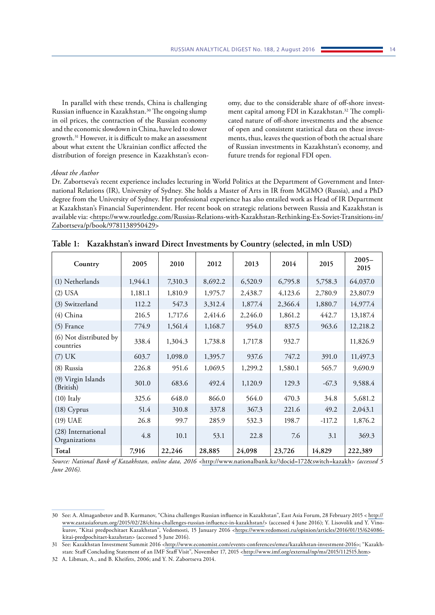In parallel with these trends, China is challenging Russian influence in Kazakhstan.30 The ongoing slump in oil prices, the contraction of the Russian economy and the economic slowdown in China, have led to slower growth.31 However, it is difficult to make an assessment about what extent the Ukrainian conflict affected the distribution of foreign presence in Kazakhstan's economy, due to the considerable share of off-shore investment capital among FDI in Kazakhstan.<sup>32</sup> The complicated nature of off-shore investments and the absence of open and consistent statistical data on these investments, thus, leaves the question of both the actual share of Russian investments in Kazakhstan's economy, and future trends for regional FDI open.

#### *About the Author*

Dr. Zabortseva's recent experience includes lecturing in World Politics at the Department of Government and International Relations (IR), University of Sydney. She holds a Master of Arts in IR from MGIMO (Russia), and a PhD degree from the University of Sydney. Her professional experience has also entailed work as Head of IR Department at Kazakhstan's Financial Superintendent. Her recent book on strategic relations between Russia and Kazakhstan is available via: [<https://www.routledge.com/Russias-Relations-with-Kazakhstan-Rethinking-Ex-Soviet-Transitions-in/](https://www.routledge.com/Russias-Relations-with-Kazakhstan-Rethinking-Ex-Soviet-Transitions-in/Zabortseva/p/book/9781138950429) [Zabortseva/p/book/9781138950429](https://www.routledge.com/Russias-Relations-with-Kazakhstan-Rethinking-Ex-Soviet-Transitions-in/Zabortseva/p/book/9781138950429)>

| Country                             | 2005    | 2010    | 2012    | 2013    | 2014    | 2015     | $2005 -$<br>2015 |
|-------------------------------------|---------|---------|---------|---------|---------|----------|------------------|
| (1) Netherlands                     | 1,944.1 | 7,310.3 | 8,692.2 | 6,520.9 | 6,795.8 | 5,758.3  | 64,037.0         |
| $(2)$ USA                           | 1,181.1 | 1,810.9 | 1,975.7 | 2,438.7 | 4,123.6 | 2,780.9  | 23,807.9         |
| (3) Switzerland                     | 112.2   | 547.3   | 3,312.4 | 1,877.4 | 2,366.4 | 1,880.7  | 14,977.4         |
| (4) China                           | 216.5   | 1,717.6 | 2,414.6 | 2,246.0 | 1,861.2 | 442.7    | 13,187.4         |
| $(5)$ France                        | 774.9   | 1,561.4 | 1,168.7 | 954.0   | 837.5   | 963.6    | 12,218.2         |
| (6) Not distributed by<br>countries | 338.4   | 1,304.3 | 1,738.8 | 1,717.8 | 932.7   |          | 11,826.9         |
| $(7)$ UK                            | 603.7   | 1,098.0 | 1,395.7 | 937.6   | 747.2   | 391.0    | 11,497.3         |
| (8) Russia                          | 226.8   | 951.6   | 1,069.5 | 1,299.2 | 1,580.1 | 565.7    | 9,690.9          |
| (9) Virgin Islands<br>(British)     | 301.0   | 683.6   | 492.4   | 1,120.9 | 129.3   | $-67.3$  | 9,588.4          |
| $(10)$ Italy                        | 325.6   | 648.0   | 866.0   | 564.0   | 470.3   | 34.8     | 5,681.2          |
| $(18)$ Cyprus                       | 51.4    | 310.8   | 337.8   | 367.3   | 221.6   | 49.2     | 2,043.1          |
| $(19)$ UAE                          | 26.8    | 99.7    | 285.9   | 532.3   | 198.7   | $-117.2$ | 1,876.2          |
| (28) International<br>Organizations | 4.8     | 10.1    | 53.1    | 22.8    | 7.6     | 3.1      | 369.3            |
| Total                               | 7,916   | 22,246  | 28,885  | 24,098  | 23,726  | 14,829   | 222,389          |

*Source: National Bank of Kazakhstan, online data, 2016 <*<http://www.nationalbank.kz/?docid=172&switch=kazakh>*> (accessed 5 June 2016).*

<sup>30</sup> See: A. Almaganbetov and B. Kurmanov, "China challenges Russian influence in Kazakhstan", East Asia Forum, 28 February 2015 < [http://](http://www.eastasiaforum.org/2015/02/28/china-challenges-russian-influence-in-kazakhstan/) [www.eastasiaforum.org/2015/02/28/china-challenges-russian-influence-in-kazakhstan/>](http://www.eastasiaforum.org/2015/02/28/china-challenges-russian-influence-in-kazakhstan/) (accessed 4 June 2016); Y. Lisovolik and Y. Vinokurov, "Kitai predpochitaet Kazakhstan", Vedomosti, 15 January 2016 <[https://www.vedomosti.ru/opinion/articles/2016/01/15/624086](https://www.vedomosti.ru/opinion/articles/2016/01/15/624086-kitai-predpochitaet-kazahstan) [kitai-predpochitaet-kazahstan>](https://www.vedomosti.ru/opinion/articles/2016/01/15/624086-kitai-predpochitaet-kazahstan) (accessed 5 June 2016).

<sup>31</sup> See: Kazakhstan Investment Summit 2016 [<http://www.economist.com/events-conferences/emea/kazakhstan-investment-2016](http://www.economist.com/events-conferences/emea/kazakhstan-investment-2016)>; "Kazakh-stan: Staff Concluding Statement of an IMF Staff Visit", November 17, 2015 [<http://www.imf.org/external/np/ms/2015/112515.htm>](http://www.imf.org/external/np/ms/2015/112515.htm)

<sup>32</sup> A. Libman, A., and B. Kheifets, 2006; and Y. N. Zabortseva 2014.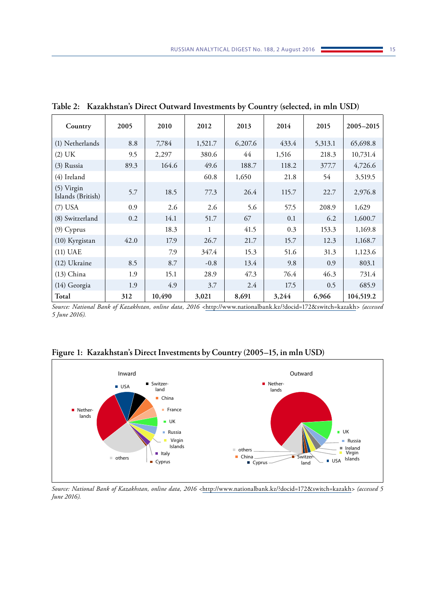| Country                           | 2005 | 2010   | 2012         | 2013    | 2014  | 2015    | 2005-2015 |
|-----------------------------------|------|--------|--------------|---------|-------|---------|-----------|
| (1) Netherlands                   | 8.8  | 7,784  | 1,521.7      | 6,207.6 | 433.4 | 5,313.1 | 65,698.8  |
| (2) UK                            | 9.5  | 2,297  | 380.6        | 44      | 1,516 | 218.3   | 10,731.4  |
| (3) Russia                        | 89.3 | 164.6  | 49.6         | 188.7   | 118.2 | 377.7   | 4,726.6   |
| (4) Ireland                       |      |        | 60.8         | 1,650   | 21.8  | 54      | 3,519.5   |
| $(5)$ Virgin<br>Islands (British) | 5.7  | 18.5   | 77.3         | 26.4    | 115.7 | 22.7    | 2,976.8   |
| $(7)$ USA                         | 0.9  | 2.6    | 2.6          | 5.6     | 57.5  | 208.9   | 1,629     |
| (8) Switzerland                   | 0.2  | 14.1   | 51.7         | 67      | 0.1   | 6.2     | 1,600.7   |
| $(9)$ Cyprus                      |      | 18.3   | $\mathbf{1}$ | 41.5    | 0.3   | 153.3   | 1,169.8   |
| (10) Kyrgistan                    | 42.0 | 17.9   | 26.7         | 21.7    | 15.7  | 12.3    | 1,168.7   |
| $(11)$ UAE                        |      | 7.9    | 347.4        | 15.3    | 51.6  | 31.3    | 1,123.6   |
| (12) Ukraine                      | 8.5  | 8.7    | $-0.8$       | 13.4    | 9.8   | 0.9     | 803.1     |
| $(13)$ China                      | 1.9  | 15.1   | 28.9         | 47.3    | 76.4  | 46.3    | 731.4     |
| (14) Georgia                      | 1.9  | 4.9    | 3.7          | 2.4     | 17.5  | 0.5     | 685.9     |
| Total                             | 312  | 10,490 | 3,021        | 8,691   | 3,244 | 6,966   | 104,519.2 |

**Table 2: Kazakhstan's Direct Outward Investments by Country (selected, in mln USD)**

*Source: National Bank of Kazakhstan, online data, 2016 <*<http://www.nationalbank.kz/?docid=172&switch=kazakh>*> (accessed 5 June 2016).*



**Figure 1: Kazakhstan's Direct Investments by Country (2005–15, in mln USD)**

*Source: National Bank of Kazakhstan, online data, 2016 <*<http://www.nationalbank.kz/?docid=172&switch=kazakh>*> (accessed 5 June 2016).*